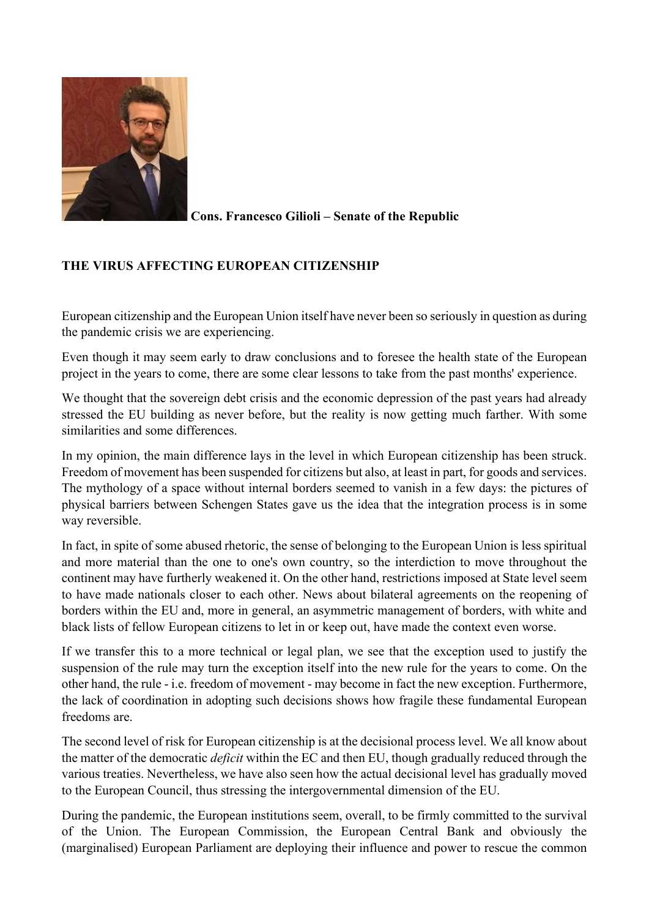

Cons. Francesco Gilioli – Senate of the Republic

## THE VIRUS AFFECTING EUROPEAN CITIZENSHIP

European citizenship and the European Union itself have never been so seriously in question as during the pandemic crisis we are experiencing.

Even though it may seem early to draw conclusions and to foresee the health state of the European project in the years to come, there are some clear lessons to take from the past months' experience.

We thought that the sovereign debt crisis and the economic depression of the past years had already stressed the EU building as never before, but the reality is now getting much farther. With some similarities and some differences.

In my opinion, the main difference lays in the level in which European citizenship has been struck. Freedom of movement has been suspended for citizens but also, at least in part, for goods and services. The mythology of a space without internal borders seemed to vanish in a few days: the pictures of physical barriers between Schengen States gave us the idea that the integration process is in some way reversible.

In fact, in spite of some abused rhetoric, the sense of belonging to the European Union is less spiritual and more material than the one to one's own country, so the interdiction to move throughout the continent may have furtherly weakened it. On the other hand, restrictions imposed at State level seem to have made nationals closer to each other. News about bilateral agreements on the reopening of borders within the EU and, more in general, an asymmetric management of borders, with white and black lists of fellow European citizens to let in or keep out, have made the context even worse.

If we transfer this to a more technical or legal plan, we see that the exception used to justify the suspension of the rule may turn the exception itself into the new rule for the years to come. On the other hand, the rule - i.e. freedom of movement - may become in fact the new exception. Furthermore, the lack of coordination in adopting such decisions shows how fragile these fundamental European freedoms are.

The second level of risk for European citizenship is at the decisional process level. We all know about the matter of the democratic deficit within the EC and then EU, though gradually reduced through the various treaties. Nevertheless, we have also seen how the actual decisional level has gradually moved to the European Council, thus stressing the intergovernmental dimension of the EU.

During the pandemic, the European institutions seem, overall, to be firmly committed to the survival of the Union. The European Commission, the European Central Bank and obviously the (marginalised) European Parliament are deploying their influence and power to rescue the common